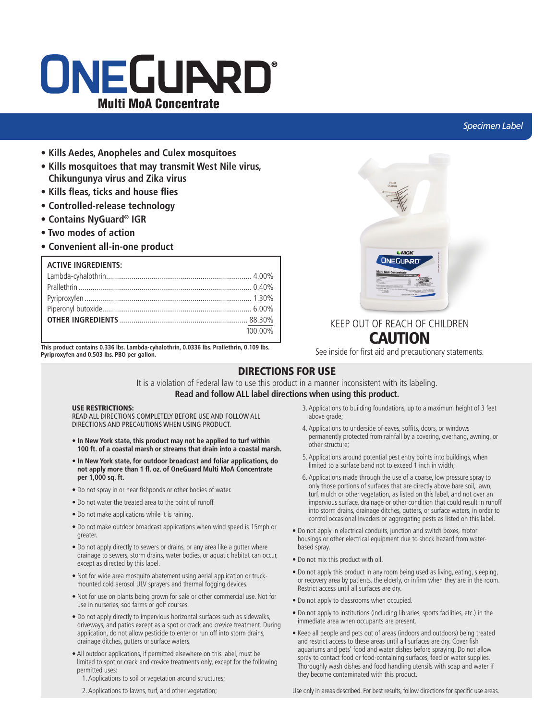# ONEGUARD® Multi MoA Concentrate

## *Specimen Label*

- **Kills Aedes, Anopheles and Culex mosquitoes**
- **Kills mosquitoes that may transmit West Nile virus, Chikungunya virus and Zika virus**
- **Kills fleas, ticks and house flies**
- **Controlled-release technology**
- **Contains NyGuard® IGR**
- **Two modes of action**
- **Convenient all-in-one product**

## **ACTIVE INGREDIENTS:**

| 100.00% |
|---------|
|         |

**This product contains 0.336 lbs. Lambda-cyhalothrin, 0.0336 lbs. Prallethrin, 0.109 lbs. Pyriproxyfen and 0.503 lbs. PBO per gallon.**



# KEEP OUT OF REACH OF CHILDREN **CAUTION**

See inside for first aid and precautionary statements.

## DIRECTIONS FOR USE

It is a violation of Federal law to use this product in a manner inconsistent with its labeling. **Read and follow ALL label directions when using this product.**

## USE RESTRICTIONS:

READ ALL DIRECTIONS COMPLETELY BEFORE USE AND FOLLOW ALL DIRECTIONS AND PRECAUTIONS WHEN USING PRODUCT.

- **In New York state, this product may not be applied to turf within 100 ft. of a coastal marsh or streams that drain into a coastal marsh.**
- **In New York state, for outdoor broadcast and foliar applications, do not apply more than 1 fl. oz. of OneGuard Multi MoA Concentrate per 1,000 sq. ft.**
- Do not spray in or near fishponds or other bodies of water.
- Do not water the treated area to the point of runoff.
- Do not make applications while it is raining.
- Do not make outdoor broadcast applications when wind speed is 15mph or greater.
- Do not apply directly to sewers or drains, or any area like a gutter where drainage to sewers, storm drains, water bodies, or aquatic habitat can occur, except as directed by this label.
- Not for wide area mosquito abatement using aerial application or truckmounted cold aerosol ULV sprayers and thermal fogging devices.
- Not for use on plants being grown for sale or other commercial use. Not for use in nurseries, sod farms or golf courses.
- Do not apply directly to impervious horizontal surfaces such as sidewalks, driveways, and patios except as a spot or crack and crevice treatment. During application, do not allow pesticide to enter or run off into storm drains, drainage ditches, gutters or surface waters.
- All outdoor applications, if permitted elsewhere on this label, must be limited to spot or crack and crevice treatments only, except for the following permitted uses:
	- 1. Applications to soil or vegetation around structures;
	- 2. Applications to lawns, turf, and other vegetation;
- 3. Applications to building foundations, up to a maximum height of 3 feet above grade;
- 4. Applications to underside of eaves, soffits, doors, or windows permanently protected from rainfall by a covering, overhang, awning, or other structure;
- 5. Applications around potential pest entry points into buildings, when limited to a surface band not to exceed 1 inch in width;
- 6. Applications made through the use of a coarse, low pressure spray to only those portions of surfaces that are directly above bare soil, lawn, turf, mulch or other vegetation, as listed on this label, and not over an impervious surface, drainage or other condition that could result in runoff into storm drains, drainage ditches, gutters, or surface waters, in order to control occasional invaders or aggregating pests as listed on this label.
- Do not apply in electrical conduits, junction and switch boxes, motor housings or other electrical equipment due to shock hazard from waterbased spray.
- Do not mix this product with oil.
- Do not apply this product in any room being used as living, eating, sleeping, or recovery area by patients, the elderly, or infirm when they are in the room. Restrict access until all surfaces are dry.
- Do not apply to classrooms when occupied.
- Do not apply to institutions (including libraries, sports facilities, etc.) in the immediate area when occupants are present.
- Keep all people and pets out of areas (indoors and outdoors) being treated and restrict access to these areas until all surfaces are dry. Cover fish aquariums and pets' food and water dishes before spraying. Do not allow spray to contact food or food-containing surfaces, feed or water supplies. Thoroughly wash dishes and food handling utensils with soap and water if they become contaminated with this product.

Use only in areas described. For best results, follow directions for specific use areas.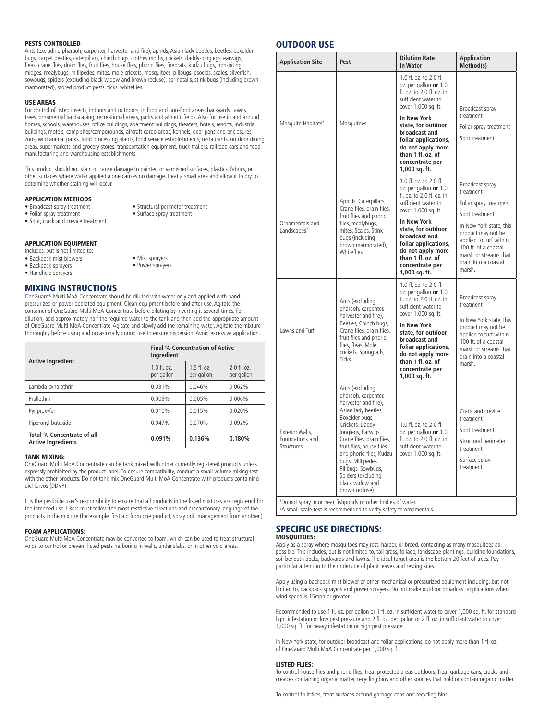## PESTS CONTROLLED

Ants (excluding pharaoh, carpenter, harvester and fire), aphids, Asian lady beetles, beetles, boxelder bugs, carpet beetles, caterpillars, chinch bugs, clothes moths, crickets, daddy-longlegs, earwigs, fleas, crane flies, drain flies, fruit flies, house flies, phorid flies, firebrats, kudzu bugs, non-biting midges, mealybugs, millipedes, mites, mole crickets, mosquitoes, pillbugs, psocids, scales, silverfish, sowbugs, spiders (excluding black widow and brown recluse), springtails, stink bugs (including brown marmorated), stored product pests, ticks, whiteflies.

#### USE AREAS

For control of listed insects, indoors and outdoors, in food and non-food areas: backyards, lawns, trees, ornamental landscaping, recreational areas, parks and athletic fields. Also for use in and around homes, schools, warehouses, office buildings, apartment buildings, theaters, hotels, resorts, industrial buildings, motels, camp sites/campgrounds, aircraft cargo areas, kennels, deer pens and enclosures, zoos, wild animal parks, food processing plants, food service establishments, restaurants, outdoor dining areas, supermarkets and grocery stores, transportation equipment, truck trailers, railroad cars and food manufacturing and warehousing establishments.

This product should not stain or cause damage to painted or varnished surfaces, plastics, fabrics, or other surfaces where water applied alone causes no damage. Treat a small area and allow it to dry to determine whether staining will occur.

> • Structural perimeter treatment • Surface spray treatment

## APPLICATION METHODS

- Broadcast spray treatment
- Foliar spray treatment
- Spot, crack and crevice treatment
- APPLICATION EQUIPMENT
- Includes, but is not limited to:
- Backpack mist blowers
- Backpack sprayers
- Handheld sprayers

## MIXING INSTRUCTIONS

OneGuard® Multi MoA Concentrate should be diluted with water only and applied with handpressurized or power-operated equipment. Clean equipment before and after use. Agitate the container of OneGuard Multi MoA Concentrate before diluting by inverting it several times. For dilution, add approximately half the required water to the tank and then add the appropriate amount of OneGuard Multi MoA Concentrate. Agitate and slowly add the remaining water. Agitate the mixture thoroughly before using and occasionally during use to ensure dispersion. Avoid excessive application.

• Mist sprayers • Power sprayers

|                                                         | <b>Final % Concentration of Active</b><br>Ingredient |                             |                             |
|---------------------------------------------------------|------------------------------------------------------|-----------------------------|-----------------------------|
| <b>Active Ingredient</b>                                | $1.0 \text{ fl. oz.}$<br>per gallon                  | $1.5$ fl. oz.<br>per gallon | $2.0$ fl. oz.<br>per gallon |
| Lambda-cyhalothrin                                      | 0.031%                                               | 0.046%                      | 0.062%                      |
| Prallethrin                                             | 0.003%                                               | 0.005%                      | 0.006%                      |
| Pyriproxyfen                                            | 0.010%                                               | 0.015%                      | 0.020%                      |
| Piperonyl butoxide                                      | 0.047%                                               | 0.070%                      | 0.092%                      |
| Total % Concentrate of all<br><b>Active Ingredients</b> | 0.091%                                               | 0.136%                      | 0.180%                      |

## TANK MIXING:

OneGuard Multi MoA Concentrate can be tank mixed with other currently registered products unless expressly prohibited by the product label. To ensure compatibility, conduct a small volume mixing test with the other products. Do not tank mix OneGuard Multi MoA Concentrate with products containing dichlorvos (DDVP).

It is the pesticide user's responsibility to ensure that all products in the listed mixtures are registered for the intended use. Users must follow the most restrictive directions and precautionary language of the products in the mixture (for example, first aid from one product, spray drift management from another.)

### FOAM APPLICATIONS:

OneGuard Multi MoA Concentrate may be converted to foam, which can be used to treat structural voids to control or prevent listed pests harboring in walls, under slabs, or in other void areas.

## OUTDOOR USE

| <b>Application Site</b>                                                                                                                                     | Pest                                                                                                                                                                                                                                                                                                                                        | <b>Dilution Rate</b><br><b>In Water</b>                                                                                                                                                                                                                                                       | <b>Application</b><br>Method(s)                                                                                                                                                                                                        |
|-------------------------------------------------------------------------------------------------------------------------------------------------------------|---------------------------------------------------------------------------------------------------------------------------------------------------------------------------------------------------------------------------------------------------------------------------------------------------------------------------------------------|-----------------------------------------------------------------------------------------------------------------------------------------------------------------------------------------------------------------------------------------------------------------------------------------------|----------------------------------------------------------------------------------------------------------------------------------------------------------------------------------------------------------------------------------------|
| Mosquito Habitats <sup>1</sup>                                                                                                                              | Mosquitoes                                                                                                                                                                                                                                                                                                                                  | 1.0 fl. oz. to 2.0 fl.<br>oz. per gallon or 1.0<br>fl. oz. to 2.0 fl. oz. in<br>sufficient water to<br>cover 1,000 sq. ft.<br><b>In New York</b><br>state, for outdoor<br>broadcast and<br>foliar applications,<br>do not apply more<br>than 1 fl. oz. of<br>concentrate per<br>1,000 sq. ft. | Broadcast spray<br>treatment<br>Foliar spray treatment<br>Spot treatment                                                                                                                                                               |
| Ornamentals and<br>Landscapes <sup>2</sup>                                                                                                                  | Aphids, Caterpillars,<br>Crane flies, drain flies,<br>fruit flies and phorid<br>flies, mealybugs,<br>mites, Scales, Stink<br>bugs (including<br>brown marmorated),<br>Whiteflies                                                                                                                                                            | 1.0 fl. oz. to 2.0 fl.<br>oz. per gallon or 1.0<br>fl. oz. to 2.0 fl. oz. in<br>sufficient water to<br>cover 1,000 sq. ft.<br><b>In New York</b><br>state, for outdoor<br>broadcast and<br>foliar applications,<br>do not apply more<br>than 1 fl. oz. of<br>concentrate per<br>1,000 sq. ft. | Broadcast spray<br>treatment<br>Foliar spray treatment<br>Spot treatment<br>In New York state, this<br>product may not be<br>applied to turf within<br>100 ft. of a coastal<br>marsh or streams that<br>drain into a coastal<br>marsh. |
| Lawns and Turf                                                                                                                                              | Ants (excluding<br>pharaoh, carpenter,<br>harvester and fire),<br>Beetles, Chinch bugs,<br>Crane flies, drain flies,<br>fruit flies and phorid<br>flies, fleas, Mole<br>crickets, Springtails,<br><b>Ticks</b>                                                                                                                              | 1.0 fl. oz. to 2.0 fl.<br>oz. per gallon or 1.0<br>fl. oz. to 2.0 fl. oz. in<br>sufficient water to<br>cover 1,000 sq. ft.<br><b>In New York</b><br>state, for outdoor<br>broadcast and<br>foliar applications,<br>do not apply more<br>than 1 fl. oz. of<br>concentrate per<br>1,000 sq. ft. | Broadcast spray<br>treatment<br>In New York state, this<br>product may not be<br>applied to turf within<br>100 ft. of a coastal<br>marsh or streams that<br>drain into a coastal<br>marsh.                                             |
| Exterior Walls,<br>Foundations and<br>Structures                                                                                                            | Ants (excluding<br>pharaoh, carpenter,<br>harvester and fire),<br>Asian lady beetles,<br>Boxelder bugs,<br>Crickets, Daddy-<br>longlegs, Earwigs,<br>Crane flies, drain flies,<br>fruit flies, house flies<br>and phorid flies, Kudzu<br>bugs, Millipedes,<br>Pillbugs, Sowbugs,<br>Spiders (excluding<br>black widow and<br>brown recluse) | 1.0 fl. oz. to 2.0 fl.<br>oz. per gallon or 1.0<br>fl. oz. to 2.0 fl. oz. in<br>sufficient water to<br>cover 1,000 sq. ft.                                                                                                                                                                    | Crack and crevice<br>treatment<br>Spot treatment<br>Structural perimeter<br>treatment<br>Surface spray<br>treatment                                                                                                                    |
| <sup>1</sup> Do not spray in or near fishponds or other bodies of water.<br><sup>2</sup> A small-scale test is recommended to verify safety to ornamentals. |                                                                                                                                                                                                                                                                                                                                             |                                                                                                                                                                                                                                                                                               |                                                                                                                                                                                                                                        |

## SPECIFIC USE DIRECTIONS:

#### MOSQUITOES:

Apply as a spray where mosquitoes may rest, harbor, or breed, contacting as many mosquitoes as possible. This includes, but is not limited to, tall grass, foliage, landscape plantings, building foundations, soil beneath decks, backyards and lawns. The ideal target area is the bottom 20 feet of trees. Pay particular attention to the underside of plant leaves and resting sites.

Apply using a backpack mist blower or other mechanical or pressurized equipment including, but not limited to, backpack sprayers and power sprayers. Do not make outdoor broadcast applications when wind speed is 15mph or greater.

Recommended to use 1 fl. oz. per gallon or 1 fl. oz. in sufficient water to cover 1,000 sq. ft. for standard light infestation or low pest pressure and 2 fl. oz. per gallon or 2 fl. oz. in sufficient water to cover 1,000 sq. ft. for heavy infestation or high pest pressure.

In New York state, for outdoor broadcast and foliar applications, do not apply more than 1 fl. oz. of OneGuard Multi MoA Concentrate per 1,000 sq. ft.

#### LISTED FLIES:

To control house flies and phorid flies, treat protected areas outdoors. Treat garbage cans, cracks and crevices containing organic matter, recycling bins and other sources that hold or contain organic matter.

To control fruit flies, treat surfaces around garbage cans and recycling bins.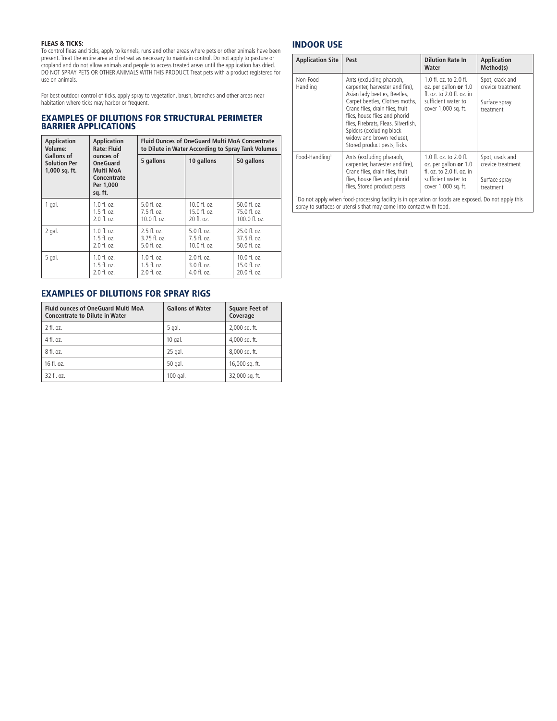## FLEAS & TICKS:

To control fleas and ticks, apply to kennels, runs and other areas where pets or other animals have been present. Treat the entire area and retreat as necessary to maintain control. Do not apply to pasture or cropland and do not allow animals and people to access treated areas until the application has dried. DO NOT SPRAY PETS OR OTHER ANIMALS WITH THIS PRODUCT. Treat pets with a product registered for use on animals.

For best outdoor control of ticks, apply spray to vegetation, brush, branches and other areas near habitation where ticks may harbor or frequent.

## EXAMPLES OF DILUTIONS FOR STRUCTURAL PERIMETER BARRIER APPLICATIONS

| <b>Application</b>                                                                                                                     | Application              | <b>Fluid Ounces of OneGuard Multi MoA Concentrate</b> |                            |                          |
|----------------------------------------------------------------------------------------------------------------------------------------|--------------------------|-------------------------------------------------------|----------------------------|--------------------------|
| Volume:                                                                                                                                | <b>Rate: Fluid</b>       | to Dilute in Water According to Spray Tank Volumes    |                            |                          |
| Gallons of<br>ounces of<br><b>Solution Per</b><br><b>OneGuard</b><br>Multi MoA<br>1,000 sq. ft.<br>Concentrate<br>Per 1,000<br>sq. ft. | 5 gallons                | 10 gallons                                            | 50 gallons                 |                          |
| 1 gal.                                                                                                                                 | $1.0 \text{ fl.}$ $0z$ . | $5.0$ fl. oz.                                         | $10.0 f$ , $0z$ .          | $50.0$ fl. oz.           |
|                                                                                                                                        | $1.5$ fl. oz.            | $7.5$ fl. oz.                                         | 15.0 fl. oz.               | 75.0 fl. oz.             |
|                                                                                                                                        | $2.0$ fl. oz.            | $10.0 \text{ fl. oz.}$                                | 20 fl. oz.                 | 100.0 fl. oz.            |
| 2 gal.                                                                                                                                 | $1.0 \text{ fl. oz.}$    | $2.5$ fl. oz.                                         | $5.0$ fl. oz.              | $25.0$ fl. oz.           |
|                                                                                                                                        | $1.5$ fl. oz.            | $3.75$ fl. oz.                                        | $7.5$ fl. oz.              | 37.5 fl. oz.             |
|                                                                                                                                        | $2.0$ fl. oz.            | $5.0 \text{ fl.}$ $oz.$                               | $10.0 \text{ fl.}$ $0.7$ . | $50.0$ fl. oz.           |
| 5 gal.                                                                                                                                 | 1.0 fl. oz.              | $1.0 \text{ fl.}$ $oz.$                               | $2.0$ fl. oz.              | $10.0 \text{ fl. oz.}$   |
|                                                                                                                                        | $1.5 \text{ fl. oz.}$    | $1.5 \text{ fl. oz.}$                                 | $3.0 \text{ fl.}$ $0.7$ .  | $15.0 \text{ fl.}$ $oz.$ |
|                                                                                                                                        | 2.0 fl. oz.              | $2.0 \text{ fl.}$ $oz.$                               | 4.0 fl. oz.                | 20.0 fl. oz.             |

## EXAMPLES OF DILUTIONS FOR SPRAY RIGS

| <b>Fluid ounces of OneGuard Multi MoA</b><br><b>Concentrate to Dilute in Water</b> | <b>Gallons of Water</b> | <b>Square Feet of</b><br>Coverage |
|------------------------------------------------------------------------------------|-------------------------|-----------------------------------|
| 2 fl. oz.                                                                          | 5 gal.                  | 2,000 sq. ft.                     |
| 4 fl. oz.                                                                          | $10$ gal.               | 4,000 sq. ft.                     |
| 8 fl. oz.                                                                          | 25 gal.                 | 8,000 sq. ft.                     |
| 16 fl. oz.                                                                         | 50 gal.                 | 16,000 sq. ft.                    |
| 32 fl. oz.                                                                         | 100 gal.                | 32,000 sq. ft.                    |

## INDOOR USE

| <b>Application Site</b>                                                                                                                                                    | Pest                                                                                                                                                                                                                                                                                                                              | <b>Dilution Rate In</b><br>Water                                                                                           | <b>Application</b><br>Method(s)                                    |
|----------------------------------------------------------------------------------------------------------------------------------------------------------------------------|-----------------------------------------------------------------------------------------------------------------------------------------------------------------------------------------------------------------------------------------------------------------------------------------------------------------------------------|----------------------------------------------------------------------------------------------------------------------------|--------------------------------------------------------------------|
| Non-Food<br>Handling                                                                                                                                                       | Ants (excluding pharaoh,<br>carpenter, harvester and fire),<br>Asian lady beetles, Beetles,<br>Carpet beetles, Clothes moths,<br>Crane flies, drain flies, fruit<br>flies, house flies and phorid<br>flies, Firebrats, Fleas, Silverfish,<br>Spiders (excluding black<br>widow and brown recluse),<br>Stored product pests, Ticks | 1.0 fl. oz. to 2.0 fl.<br>oz. per gallon or 1.0<br>fl. oz. to 2.0 fl. oz. in<br>sufficient water to<br>cover 1,000 sq. ft. | Spot, crack and<br>crevice treatment<br>Surface spray<br>treatment |
| Food-Handling <sup>1</sup>                                                                                                                                                 | Ants (excluding pharaoh,<br>carpenter, harvester and fire),<br>Crane flies, drain flies, fruit<br>flies, house flies and phorid<br>flies, Stored product pests                                                                                                                                                                    | 1.0 fl. oz. to 2.0 fl.<br>oz. per gallon or 1.0<br>fl. oz. to 2.0 fl. oz. in<br>sufficient water to<br>cover 1,000 sq. ft. | Spot, crack and<br>crevice treatment<br>Surface spray<br>treatment |
| 'Do not apply when food-processing facility is in operation or foods are exposed. Do not apply this<br>spray to surfaces or utensils that may come into contact with food. |                                                                                                                                                                                                                                                                                                                                   |                                                                                                                            |                                                                    |